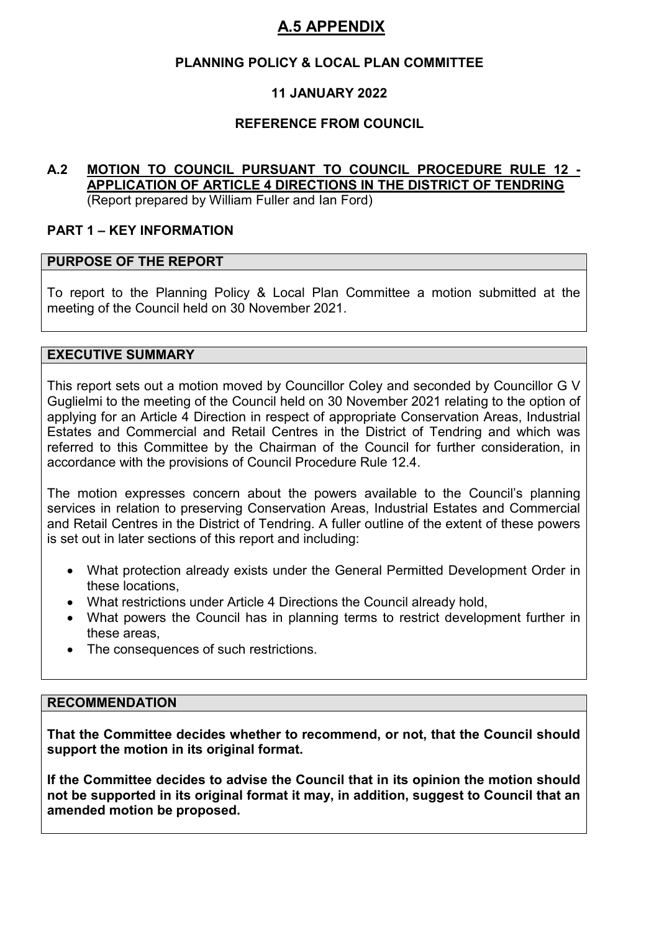## **PLANNING POLICY & LOCAL PLAN COMMITTEE**

## **11 JANUARY 2022**

## **REFERENCE FROM COUNCIL**

#### **A.2 MOTION TO COUNCIL PURSUANT TO COUNCIL PROCEDURE RULE 12 - APPLICATION OF ARTICLE 4 DIRECTIONS IN THE DISTRICT OF TENDRING** (Report prepared by William Fuller and Ian Ford)

#### **PART 1 – KEY INFORMATION**

#### **PURPOSE OF THE REPORT**

To report to the Planning Policy & Local Plan Committee a motion submitted at the meeting of the Council held on 30 November 2021.

#### **EXECUTIVE SUMMARY**

This report sets out a motion moved by Councillor Coley and seconded by Councillor G V Guglielmi to the meeting of the Council held on 30 November 2021 relating to the option of applying for an Article 4 Direction in respect of appropriate Conservation Areas, Industrial Estates and Commercial and Retail Centres in the District of Tendring and which was referred to this Committee by the Chairman of the Council for further consideration, in accordance with the provisions of Council Procedure Rule 12.4.

The motion expresses concern about the powers available to the Council's planning services in relation to preserving Conservation Areas, Industrial Estates and Commercial and Retail Centres in the District of Tendring. A fuller outline of the extent of these powers is set out in later sections of this report and including:

- What protection already exists under the General Permitted Development Order in these locations,
- What restrictions under Article 4 Directions the Council already hold,
- What powers the Council has in planning terms to restrict development further in these areas,
- The consequences of such restrictions.

#### **RECOMMENDATION**

**That the Committee decides whether to recommend, or not, that the Council should support the motion in its original format.** 

**If the Committee decides to advise the Council that in its opinion the motion should not be supported in its original format it may, in addition, suggest to Council that an amended motion be proposed.**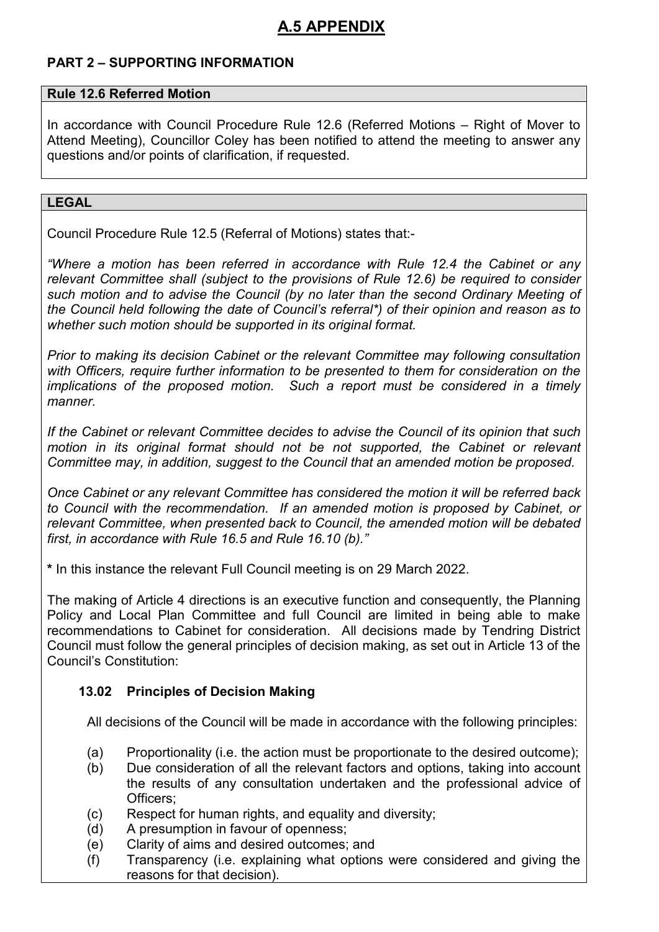## **PART 2 – SUPPORTING INFORMATION**

### **Rule 12.6 Referred Motion**

In accordance with Council Procedure Rule 12.6 (Referred Motions – Right of Mover to Attend Meeting), Councillor Coley has been notified to attend the meeting to answer any questions and/or points of clarification, if requested.

#### **LEGAL**

Council Procedure Rule 12.5 (Referral of Motions) states that:-

*"Where a motion has been referred in accordance with Rule 12.4 the Cabinet or any relevant Committee shall (subject to the provisions of Rule 12.6) be required to consider such motion and to advise the Council (by no later than the second Ordinary Meeting of the Council held following the date of Council's referral\*) of their opinion and reason as to whether such motion should be supported in its original format.* 

*Prior to making its decision Cabinet or the relevant Committee may following consultation with Officers, require further information to be presented to them for consideration on the implications of the proposed motion. Such a report must be considered in a timely manner.* 

*If the Cabinet or relevant Committee decides to advise the Council of its opinion that such*  motion in its original format should not be not supported, the Cabinet or relevant *Committee may, in addition, suggest to the Council that an amended motion be proposed.* 

*Once Cabinet or any relevant Committee has considered the motion it will be referred back to Council with the recommendation. If an amended motion is proposed by Cabinet, or relevant Committee, when presented back to Council, the amended motion will be debated first, in accordance with Rule 16.5 and Rule 16.10 (b)."* 

**\*** In this instance the relevant Full Council meeting is on 29 March 2022.

The making of Article 4 directions is an executive function and consequently, the Planning Policy and Local Plan Committee and full Council are limited in being able to make recommendations to Cabinet for consideration. All decisions made by Tendring District Council must follow the general principles of decision making, as set out in Article 13 of the Council's Constitution:

## **13.02 Principles of Decision Making**

All decisions of the Council will be made in accordance with the following principles:

- (a) Proportionality (i.e. the action must be proportionate to the desired outcome);
- (b) Due consideration of all the relevant factors and options, taking into account the results of any consultation undertaken and the professional advice of Officers<sup>:</sup>
- (c) Respect for human rights, and equality and diversity;
- (d) A presumption in favour of openness;
- (e) Clarity of aims and desired outcomes; and
- (f) Transparency (i.e. explaining what options were considered and giving the reasons for that decision).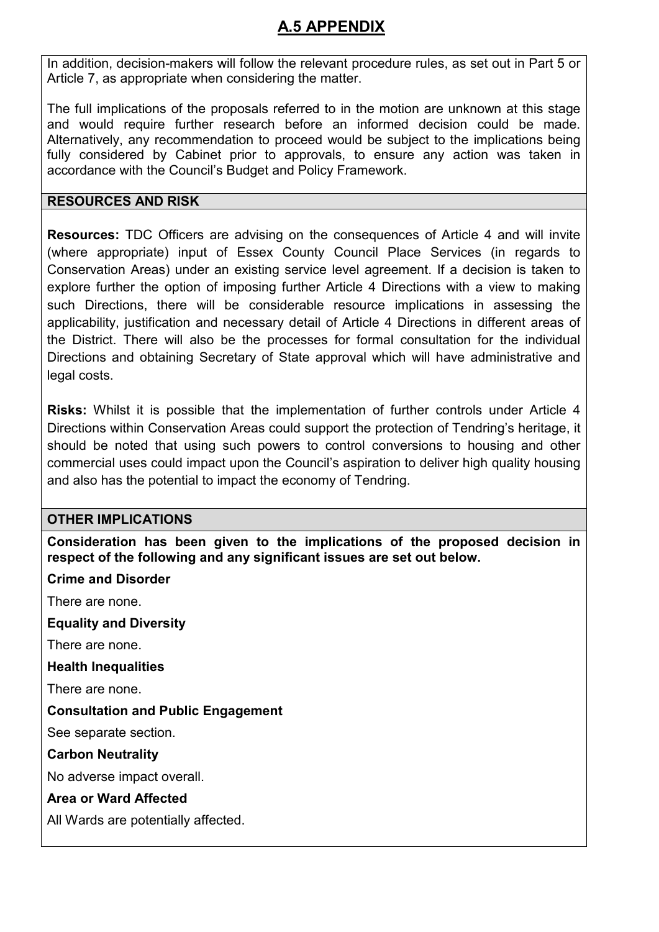In addition, decision-makers will follow the relevant procedure rules, as set out in Part 5 or Article 7, as appropriate when considering the matter.

The full implications of the proposals referred to in the motion are unknown at this stage and would require further research before an informed decision could be made. Alternatively, any recommendation to proceed would be subject to the implications being fully considered by Cabinet prior to approvals, to ensure any action was taken in accordance with the Council's Budget and Policy Framework.

### **RESOURCES AND RISK**

**Resources:** TDC Officers are advising on the consequences of Article 4 and will invite (where appropriate) input of Essex County Council Place Services (in regards to Conservation Areas) under an existing service level agreement. If a decision is taken to explore further the option of imposing further Article 4 Directions with a view to making such Directions, there will be considerable resource implications in assessing the applicability, justification and necessary detail of Article 4 Directions in different areas of the District. There will also be the processes for formal consultation for the individual Directions and obtaining Secretary of State approval which will have administrative and legal costs.

**Risks:** Whilst it is possible that the implementation of further controls under Article 4 Directions within Conservation Areas could support the protection of Tendring's heritage, it should be noted that using such powers to control conversions to housing and other commercial uses could impact upon the Council's aspiration to deliver high quality housing and also has the potential to impact the economy of Tendring.

### **OTHER IMPLICATIONS**

**Consideration has been given to the implications of the proposed decision in respect of the following and any significant issues are set out below.** 

### **Crime and Disorder**

There are none.

**Equality and Diversity**

There are none.

**Health Inequalities** 

There are none.

**Consultation and Public Engagement** 

See separate section.

**Carbon Neutrality** 

No adverse impact overall.

### **Area or Ward Affected**

All Wards are potentially affected.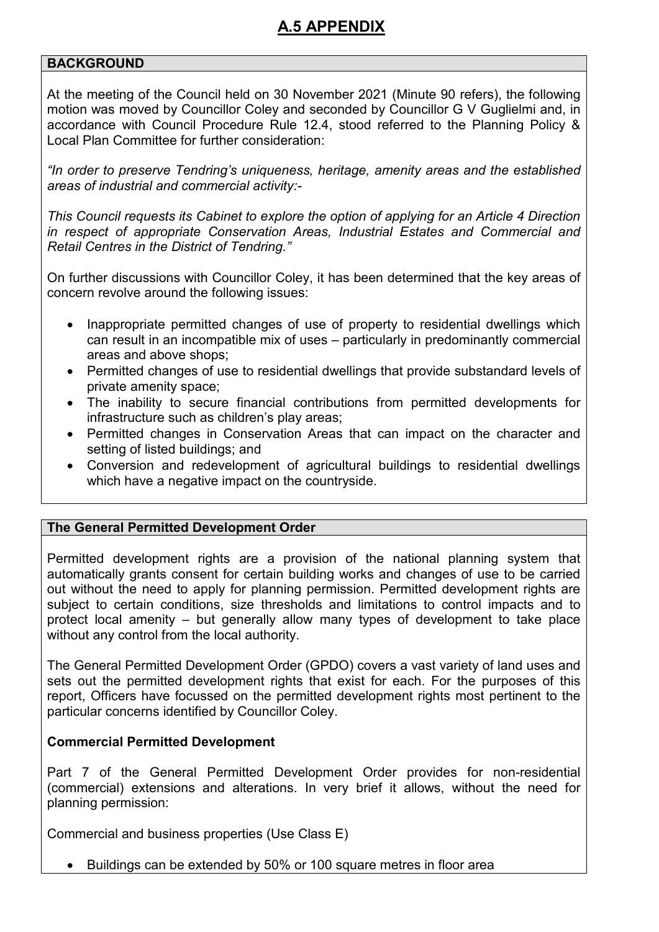### **BACKGROUND**

At the meeting of the Council held on 30 November 2021 (Minute 90 refers), the following motion was moved by Councillor Coley and seconded by Councillor G V Guglielmi and, in accordance with Council Procedure Rule 12.4, stood referred to the Planning Policy & Local Plan Committee for further consideration:

*"In order to preserve Tendring's uniqueness, heritage, amenity areas and the established areas of industrial and commercial activity:-* 

*This Council requests its Cabinet to explore the option of applying for an Article 4 Direction in respect of appropriate Conservation Areas, Industrial Estates and Commercial and Retail Centres in the District of Tendring."* 

On further discussions with Councillor Coley, it has been determined that the key areas of concern revolve around the following issues:

- Inappropriate permitted changes of use of property to residential dwellings which can result in an incompatible mix of uses – particularly in predominantly commercial areas and above shops;
- Permitted changes of use to residential dwellings that provide substandard levels of private amenity space;
- The inability to secure financial contributions from permitted developments for infrastructure such as children's play areas;
- Permitted changes in Conservation Areas that can impact on the character and setting of listed buildings; and
- Conversion and redevelopment of agricultural buildings to residential dwellings which have a negative impact on the countryside.

### **The General Permitted Development Order**

Permitted development rights are a provision of the national planning system that automatically grants consent for certain building works and changes of use to be carried out without the need to apply for planning permission. Permitted development rights are subject to certain conditions, size thresholds and limitations to control impacts and to protect local amenity – but generally allow many types of development to take place without any control from the local authority.

The General Permitted Development Order (GPDO) covers a vast variety of land uses and sets out the permitted development rights that exist for each. For the purposes of this report, Officers have focussed on the permitted development rights most pertinent to the particular concerns identified by Councillor Coley.

#### **Commercial Permitted Development**

Part 7 of the General Permitted Development Order provides for non-residential (commercial) extensions and alterations. In very brief it allows, without the need for planning permission:

Commercial and business properties (Use Class E)

• Buildings can be extended by 50% or 100 square metres in floor area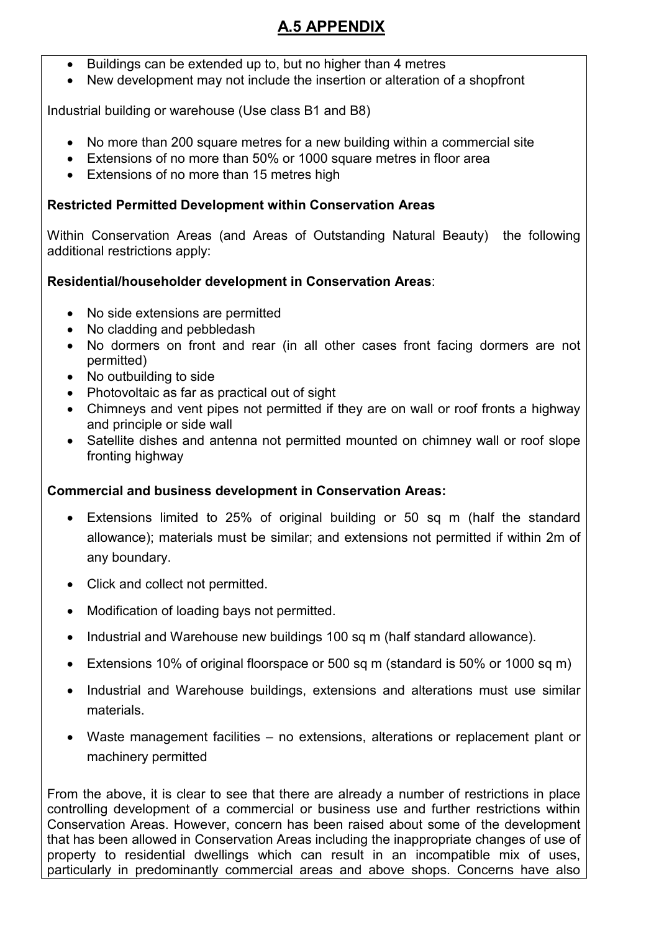- Buildings can be extended up to, but no higher than 4 metres
- New development may not include the insertion or alteration of a shopfront

Industrial building or warehouse (Use class B1 and B8)

- No more than 200 square metres for a new building within a commercial site
- Extensions of no more than 50% or 1000 square metres in floor area
- Extensions of no more than 15 metres high

### **Restricted Permitted Development within Conservation Areas**

Within Conservation Areas (and Areas of Outstanding Natural Beauty) the following additional restrictions apply:

## **Residential/householder development in Conservation Areas**:

- No side extensions are permitted
- No cladding and pebbledash
- No dormers on front and rear (in all other cases front facing dormers are not permitted)
- No outbuilding to side
- Photovoltaic as far as practical out of sight
- Chimneys and vent pipes not permitted if they are on wall or roof fronts a highway and principle or side wall
- Satellite dishes and antenna not permitted mounted on chimney wall or roof slope fronting highway

### **Commercial and business development in Conservation Areas:**

- Extensions limited to 25% of original building or 50 sq m (half the standard allowance); materials must be similar; and extensions not permitted if within 2m of any boundary.
- Click and collect not permitted.
- Modification of loading bays not permitted.
- Industrial and Warehouse new buildings 100 sq m (half standard allowance).
- Extensions 10% of original floorspace or 500 sq m (standard is 50% or 1000 sq m)
- Industrial and Warehouse buildings, extensions and alterations must use similar materials.
- Waste management facilities no extensions, alterations or replacement plant or machinery permitted

From the above, it is clear to see that there are already a number of restrictions in place controlling development of a commercial or business use and further restrictions within Conservation Areas. However, concern has been raised about some of the development that has been allowed in Conservation Areas including the inappropriate changes of use of property to residential dwellings which can result in an incompatible mix of uses, particularly in predominantly commercial areas and above shops. Concerns have also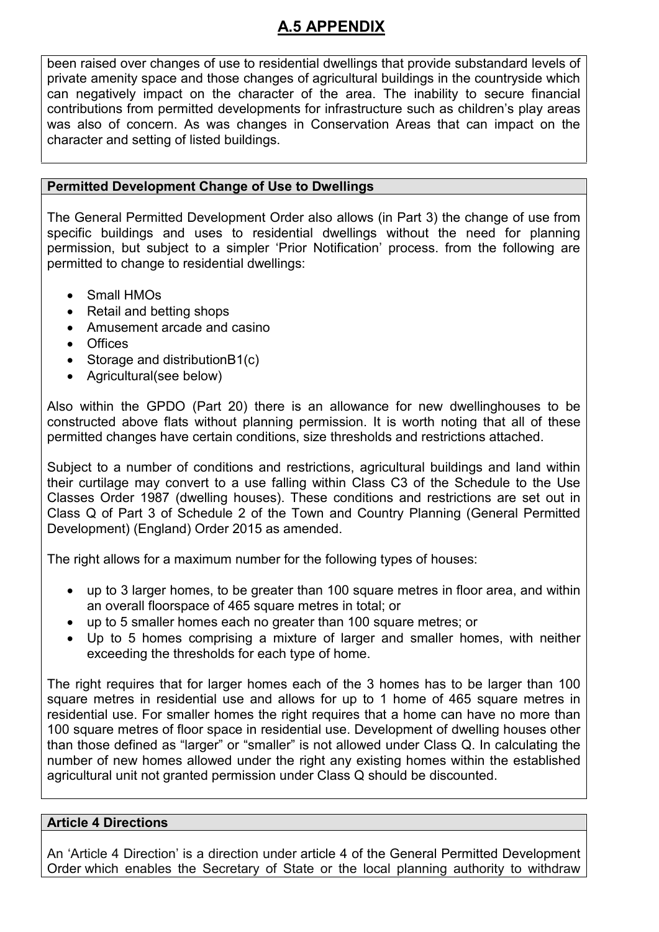been raised over changes of use to residential dwellings that provide substandard levels of private amenity space and those changes of agricultural buildings in the countryside which can negatively impact on the character of the area. The inability to secure financial contributions from permitted developments for infrastructure such as children's play areas was also of concern. As was changes in Conservation Areas that can impact on the character and setting of listed buildings.

### **Permitted Development Change of Use to Dwellings**

The General Permitted Development Order also allows (in Part 3) the change of use from specific buildings and uses to residential dwellings without the need for planning permission, but subject to a simpler 'Prior Notification' process. from the following are permitted to change to residential dwellings:

- Small HMOs
- Retail and betting shops
- Amusement arcade and casino
- Offices
- Storage and distributionB1(c)
- Agricultural(see below)

Also within the GPDO (Part 20) there is an allowance for new dwellinghouses to be constructed above flats without planning permission. It is worth noting that all of these permitted changes have certain conditions, size thresholds and restrictions attached.

Subject to a number of conditions and restrictions, agricultural buildings and land within their curtilage may convert to a use falling within Class C3 of the Schedule to the Use Classes Order 1987 (dwelling houses). These conditions and restrictions are set out in Class Q of Part 3 of Schedule 2 of the Town and Country Planning (General Permitted Development) (England) Order 2015 as amended.

The right allows for a maximum number for the following types of houses:

- up to 3 larger homes, to be greater than 100 square metres in floor area, and within an overall floorspace of 465 square metres in total; or
- up to 5 smaller homes each no greater than 100 square metres; or
- Up to 5 homes comprising a mixture of larger and smaller homes, with neither exceeding the thresholds for each type of home.

The right requires that for larger homes each of the 3 homes has to be larger than 100 square metres in residential use and allows for up to 1 home of 465 square metres in residential use. For smaller homes the right requires that a home can have no more than 100 square metres of floor space in residential use. Development of dwelling houses other than those defined as "larger" or "smaller" is not allowed under Class Q. In calculating the number of new homes allowed under the right any existing homes within the established agricultural unit not granted permission under Class Q should be discounted.

### **Article 4 Directions**

An 'Article 4 Direction' is a direction under article 4 of the General Permitted Development Order which enables the Secretary of State or the local planning authority to withdraw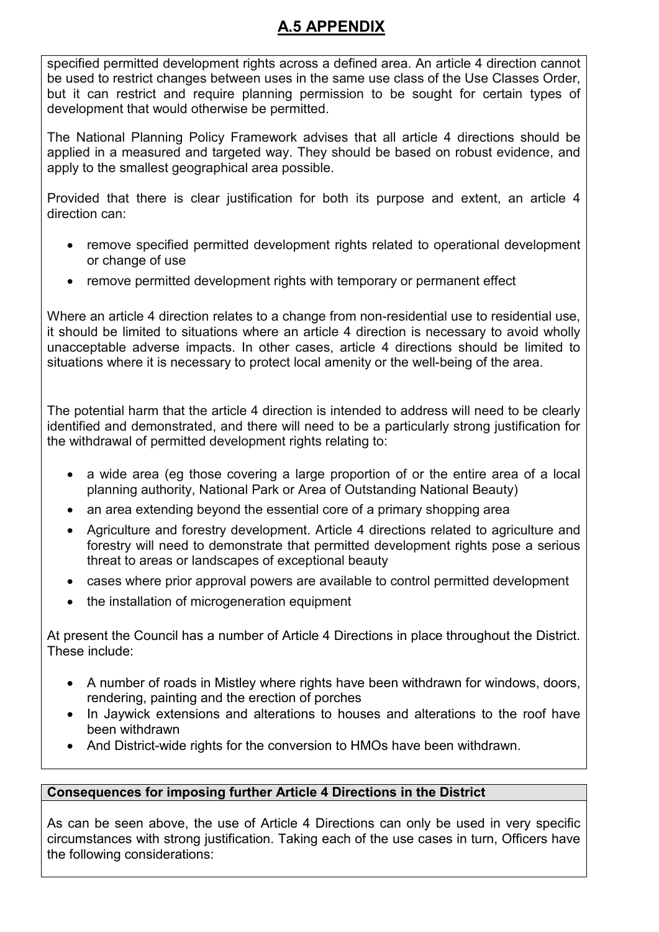specified permitted development rights across a defined area. An article 4 direction cannot be used to restrict changes between uses in the same use class of the Use Classes Order, but it can restrict and require planning permission to be sought for certain types of development that would otherwise be permitted.

The National Planning Policy Framework advises that all article 4 directions should be applied in a measured and targeted way. They should be based on robust evidence, and apply to the smallest geographical area possible.

Provided that there is clear justification for both its purpose and extent, an article 4 direction can:

- remove specified permitted development rights related to operational development or change of use
- remove permitted development rights with temporary or permanent effect

Where an article 4 direction relates to a change from non-residential use to residential use, it should be limited to situations where an article 4 direction is necessary to avoid wholly unacceptable adverse impacts. In other cases, article 4 directions should be limited to situations where it is necessary to protect local amenity or the well-being of the area.

The potential harm that the article 4 direction is intended to address will need to be clearly identified and demonstrated, and there will need to be a particularly strong justification for the withdrawal of permitted development rights relating to:

- a wide area (eg those covering a large proportion of or the entire area of a local planning authority, National Park or Area of Outstanding National Beauty)
- an area extending beyond the essential core of a primary shopping area
- Agriculture and forestry development. Article 4 directions related to agriculture and forestry will need to demonstrate that permitted development rights pose a serious threat to areas or landscapes of exceptional beauty
- cases where prior approval powers are available to control permitted development
- the installation of microgeneration equipment

At present the Council has a number of Article 4 Directions in place throughout the District. These include:

- A number of roads in Mistley where rights have been withdrawn for windows, doors, rendering, painting and the erection of porches
- In Jaywick extensions and alterations to houses and alterations to the roof have been withdrawn
- And District-wide rights for the conversion to HMOs have been withdrawn.

## **Consequences for imposing further Article 4 Directions in the District**

As can be seen above, the use of Article 4 Directions can only be used in very specific circumstances with strong justification. Taking each of the use cases in turn, Officers have the following considerations: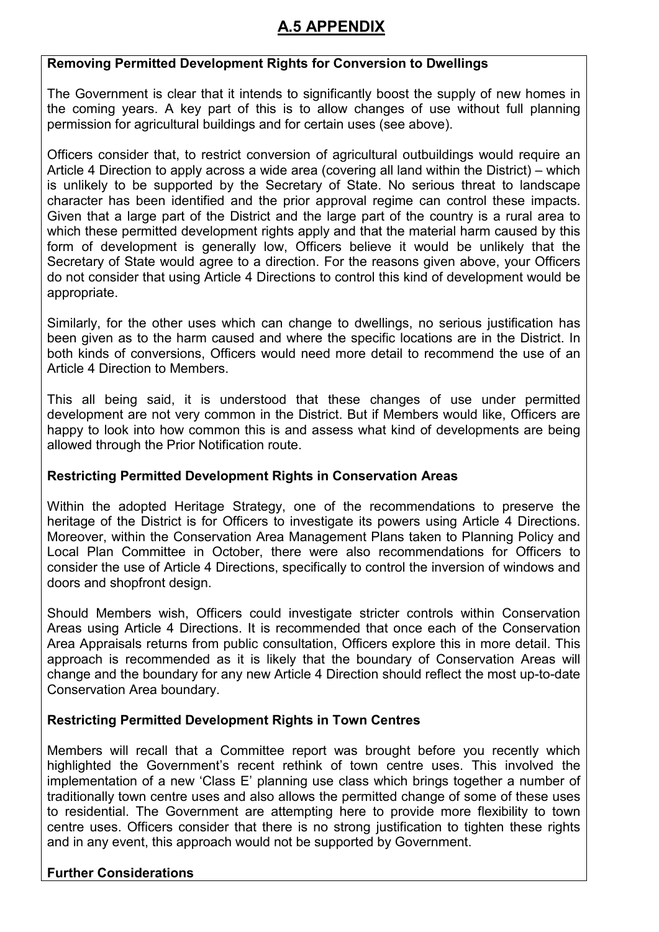## **Removing Permitted Development Rights for Conversion to Dwellings**

The Government is clear that it intends to significantly boost the supply of new homes in the coming years. A key part of this is to allow changes of use without full planning permission for agricultural buildings and for certain uses (see above).

Officers consider that, to restrict conversion of agricultural outbuildings would require an Article 4 Direction to apply across a wide area (covering all land within the District) – which is unlikely to be supported by the Secretary of State. No serious threat to landscape character has been identified and the prior approval regime can control these impacts. Given that a large part of the District and the large part of the country is a rural area to which these permitted development rights apply and that the material harm caused by this form of development is generally low, Officers believe it would be unlikely that the Secretary of State would agree to a direction. For the reasons given above, your Officers do not consider that using Article 4 Directions to control this kind of development would be appropriate.

Similarly, for the other uses which can change to dwellings, no serious justification has been given as to the harm caused and where the specific locations are in the District. In both kinds of conversions, Officers would need more detail to recommend the use of an Article 4 Direction to Members.

This all being said, it is understood that these changes of use under permitted development are not very common in the District. But if Members would like, Officers are happy to look into how common this is and assess what kind of developments are being allowed through the Prior Notification route.

### **Restricting Permitted Development Rights in Conservation Areas**

Within the adopted Heritage Strategy, one of the recommendations to preserve the heritage of the District is for Officers to investigate its powers using Article 4 Directions. Moreover, within the Conservation Area Management Plans taken to Planning Policy and Local Plan Committee in October, there were also recommendations for Officers to consider the use of Article 4 Directions, specifically to control the inversion of windows and doors and shopfront design.

Should Members wish, Officers could investigate stricter controls within Conservation Areas using Article 4 Directions. It is recommended that once each of the Conservation Area Appraisals returns from public consultation, Officers explore this in more detail. This approach is recommended as it is likely that the boundary of Conservation Areas will change and the boundary for any new Article 4 Direction should reflect the most up-to-date Conservation Area boundary.

### **Restricting Permitted Development Rights in Town Centres**

Members will recall that a Committee report was brought before you recently which highlighted the Government's recent rethink of town centre uses. This involved the implementation of a new 'Class E' planning use class which brings together a number of traditionally town centre uses and also allows the permitted change of some of these uses to residential. The Government are attempting here to provide more flexibility to town centre uses. Officers consider that there is no strong justification to tighten these rights and in any event, this approach would not be supported by Government.

## **Further Considerations**